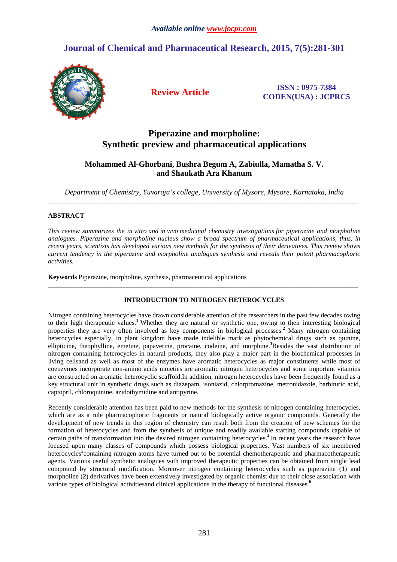# **Journal of Chemical and Pharmaceutical Research, 2015, 7(5):281-301**



**Review Article ISSN : 0975-7384 CODEN(USA) : JCPRC5**

# **Piperazine and morpholine: Synthetic preview and pharmaceutical applications**

## **Mohammed Al-Ghorbani, Bushra Begum A, Zabiulla, Mamatha S. V. and Shaukath Ara Khanum**

*Department of Chemistry, Yuvaraja's college, University of Mysore, Mysore, Karnataka, India*   $\overline{a}$  , and the contribution of the contribution of the contribution of the contribution of the contribution of the contribution of the contribution of the contribution of the contribution of the contribution of the co

## **ABSTRACT**

*This review summarizes the in vitro and in vivo medicinal chemistry investigations for piperazine and morpholine analogues. Piperazine and morpholine nucleus show a broad spectrum of pharmaceutical applications, thus, in recent years, scientists has developed various new methods for the synthesis of their derivatives. This review shows current tendency in the piperazine and morpholine analogues synthesis and reveals their potent pharmacophoric activities.* 

**Keywords** Piperazine, morpholine, synthesis, pharmaceutical applications

## **INTRODUCTION TO NITROGEN HETEROCYCLES**

\_\_\_\_\_\_\_\_\_\_\_\_\_\_\_\_\_\_\_\_\_\_\_\_\_\_\_\_\_\_\_\_\_\_\_\_\_\_\_\_\_\_\_\_\_\_\_\_\_\_\_\_\_\_\_\_\_\_\_\_\_\_\_\_\_\_\_\_\_\_\_\_\_\_\_\_\_\_\_\_\_\_\_\_\_\_\_\_\_\_\_\_\_

Nitrogen containing heterocycles have drawn considerable attention of the researchers in the past few decades owing to their high therapeutic values.**<sup>1</sup>**Whether they are natural or synthetic one, owing to their interesting biological properties they are very often involved as key components in biological processes.**<sup>2</sup>** Many nitrogen containing heterocycles especially, in plant kingdom have made indelible mark as phytochemical drugs such as quinine, ellipticine, theophylline, emetine, papaverine, procaine, codeine, and morphine.**<sup>3</sup>**Besides the vast distribution of nitrogen containing heterocycles in natural products, they also play a major part in the biochemical processes in living cellsand as well as most of the enzymes have aromatic heterocycles as major constituents while most of coenzymes incorporate non-amino acids moieties are aromatic nitrogen heterocycles and some important vitamins are constructed on aromatic heterocyclic scaffold.In addition, nitrogen heterocycles have been frequently found as a key structural unit in synthetic drugs such as diazepam, isoniazid, chlorpromazine, metronidazole, barbituric acid, captopril, chloroquinine, azidothymidine and antipyrine.

Recently considerable attention has been paid to new methods for the synthesis of nitrogen containing heterocycles, which are as a rule pharmacophoric fragments or natural biologically active organic compounds. Generally the development of new trends in this region of chemistry can result both from the creation of new schemes for the formation of heterocycles and from the synthesis of unique and readily available starting compounds capable of certain paths of transformation into the desired nitrogen containing heterocycles.**<sup>4</sup>**In recent years the research have focused upon many classes of compounds which possess biological properties. Vast numbers of six membered heterocycles<sup>5</sup> containing nitrogen atoms have turned out to be potential chemotherapeutic and pharmacotherapeutic agents. Various useful synthetic analogues with improved therapeutic properties can be obtained from single lead compound by structural modification. Moreover nitrogen containing heterocycles such as piperazine (**1**) and morpholine (**2**) derivatives have been extensively investigated by organic chemist due to their close association with various types of biological activitiesand clinical applications in the therapy of functional diseases.**<sup>6</sup>**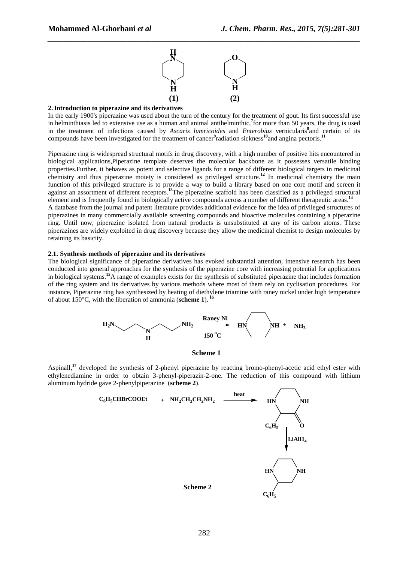

#### **2. Introduction to piperazine and its derivatives**

In the early 1900's piperazine was used about the turn of the century for the treatment of gout. Its first successful use in helminthiasis led to extensive use as a human and animal antihelminthic,**<sup>7</sup>** for more than 50 years, the drug is used in the treatment of infections caused by *Ascaris lumricoides* and *Enterobius* vernicularis**<sup>8</sup>** and certain of its compounds have been investigated for the treatment of cancer<sup>9</sup>radiation sickness<sup>10</sup>and angina pectoris.<sup>11</sup>

Piperazine ring is widespread structural motifs in drug discovery, with a high number of positive hits encountered in biological applications,Piperazine template deserves the molecular backbone as it possesses versatile binding properties.Further, it behaves as potent and selective ligands for a range of different biological targets in medicinal chemistry and thus piperazine moiety is considered as privileged structure.**<sup>12</sup>** In medicinal chemistry the main function of this privileged structure is to provide a way to build a library based on one core motif and screen it against an assortment of different receptors.**<sup>13</sup>**The piperazine scaffold has been classified as a privileged structural element and is frequently found in biologically active compounds across a number of different therapeutic areas.**<sup>14</sup>** A database from the journal and patent literature provides additional evidence for the idea of privileged structures of piperazines in many commercially available screening compounds and bioactive molecules containing a piperazine ring. Until now, piperazine isolated from natural products is unsubstituted at any of its carbon atoms. These

piperazines are widely exploited in drug discovery because they allow the medicinal chemist to design molecules by retaining its basicity.

### **2.1. Synthesis methods of piperazine and its derivatives**

The biological significance of piperazine derivatives has evoked substantial attention, intensive research has been conducted into general approaches for the synthesis of the piperazine core with increasing potential for applications in biological systems.**<sup>15</sup>**A range of examples exists for the synthesis of substituted piperazine that includes formation of the ring system and its derivatives by various methods where most of them rely on cyclisation procedures. For instance, Piperazine ring has synthesized by heating of diethylene triamine with raney nickel under high temperature of about 150°C, with the liberation of ammonia (**scheme 1**).**<sup>16</sup>**





Aspinall,**<sup>17</sup>** developed the synthesis of 2-phenyl piperazine by reacting bromo-phenyl-acetic acid ethyl ester with ethylenediamine in order to obtain 3-phenyl-piperazin-2-one. The reduction of this compound with lithium aluminum hydride gave 2-phenylpiperazine (**scheme 2**).

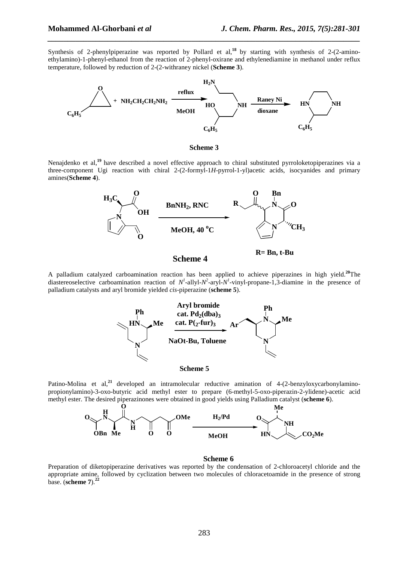Synthesis of 2-phenylpiperazine was reported by Pollard et al,**<sup>18</sup>**by starting with synthesis of 2-(2-aminoethylamino)-1-phenyl-ethanol from the reaction of 2-phenyl-oxirane and ethylenediamine in methanol under reflux temperature, followed by reduction of 2-(2-withraney nickel (**Scheme 3**).

*\_\_\_\_\_\_\_\_\_\_\_\_\_\_\_\_\_\_\_\_\_\_\_\_\_\_\_\_\_\_\_\_\_\_\_\_\_\_\_\_\_\_\_\_\_\_\_\_\_\_\_\_\_\_\_\_\_\_\_\_\_\_\_\_\_\_\_\_\_\_\_\_\_\_\_\_\_\_*



**Scheme 3**

Nenajdenko et al,**<sup>19</sup>**have described a novel effective approach to chiral substituted pyrroloketopiperazines via a three-component Ugi reaction with chiral 2-(2-formyl-1*H*-pyrrol-1-yl)acetic acids, isocyanides and primary amines(**Scheme 4**).



A palladium catalyzed carboamination reaction has been applied to achieve piperazines in high yield.**<sup>20</sup>**The diastereoselective carboamination reaction of  $N^1$ -allyl- $N^2$ -aryl- $N^1$ -vinyl-propane-1,3-diamine in the presence of palladium catalysts and aryl bromide yielded *cis*-piperazine (**scheme 5**).





Patino-Molina et al,<sup>21</sup> developed an intramolecular reductive amination of 4-(2-benzyloxycarbonylaminopropionylamino)-3-oxo-butyric acid methyl ester to prepare (6-methyl-5-oxo-piperazin-2-ylidene)-acetic acid methyl ester. The desired piperazinones were obtained in good yields using Palladium catalyst (**scheme 6**).



#### **Scheme 6**

Preparation of diketopiperazine derivatives was reported by the condensation of 2-chloroacetyl chloride and the appropriate amine, followed by cyclization between two molecules of chloracetoamide in the presence of strong base. (**scheme 7**).**<sup>22</sup>**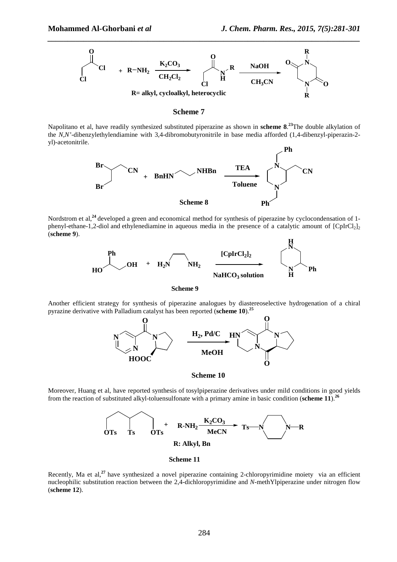

#### **Scheme 7**

Napolitano et al, have readily synthesized substituted piperazine as shown in **scheme 8**. **<sup>23</sup>**The double alkylation of the *N,N'*-dibenzylethylendiamine with 3,4-dibromobutyronitrile in base media afforded (1,4-dibenzyl-piperazin-2 yl)-acetonitrile.



Nordstrom et al,**<sup>24</sup>**developed a green and economical method for synthesis of piperazine by cyclocondensation of 1 phenyl-ethane-1,2-diol and ethylenediamine in aqueous media in the presence of a catalytic amount of  $[CpIrCl_2]$ (**scheme 9**).



**Scheme 9**

Another efficient strategy for synthesis of piperazine analogues by diastereoselective hydrogenation of a chiral pyrazine derivative with Palladium catalyst has been reported (**scheme 10**).**<sup>25</sup>**



**Scheme 10**

Moreover, Huang et al, have reported synthesis of tosylpiperazine derivatives under mild conditions in good yields from the reaction of substituted alkyl-toluensulfonate with a primary amine in basic condition (**scheme 11**).**<sup>26</sup>**



**Scheme 11**

Recently, Ma et al,<sup>27</sup> have synthesized a novel piperazine containing 2-chloropyrimidine moiety via an efficient nucleophilic substitution reaction between the 2,4-dichloropyrimidine and *N*-methYlpiperazine under nitrogen flow (**scheme 12**).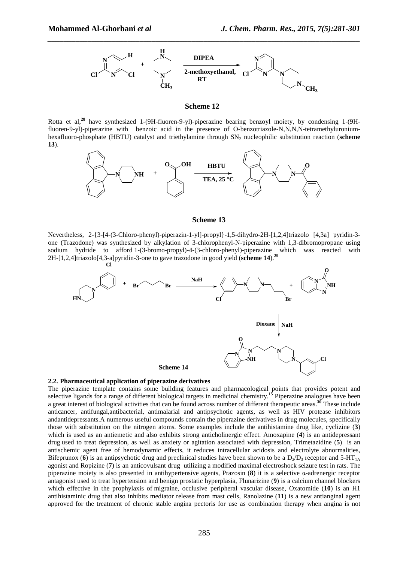

#### **Scheme 12**

Rotta et al,**<sup>28</sup>** have synthesized 1-(9H-fluoren-9-yl)-piperazine bearing benzoyl moiety, by condensing 1-(9Hfluoren-9-yl)-piperazine with benzoic acid in the presence of O-benzotriazole-N,N,N,N-tetramethyluroniumhexafluoro-phosphate (HBTU) catalyst and triethylamine through SN<sub>2</sub> nucleophilic substitution reaction (scheme **13**).



#### **Scheme 13**

Nevertheless, 2-{3-[4-(3-Chloro-phenyl)-piperazin-1-yl]-propyl}-1,5-dihydro-2H-[1,2,4]triazolo [4,3a] pyridin-3 one (Trazodone) was synthesized by alkylation of 3-chlorophenyl-N-piperazine with 1,3-dibromopropane using sodium hydride to afford 1-(3-bromo-propyl)-4-(3-chloro-phenyl)-piperazine which was reacted with 2H-[1,2,4]triazolo[4,3-a]pyridin-3-one to gave trazodone in good yield (**scheme 14**).**<sup>29</sup>**



#### **2.2. Pharmaceutical application of piperazine derivatives**

The piperazine template contains some building features and pharmacological points that provides potent and selective ligands for a range of different biological targets in medicinal chemistry.<sup>15</sup> Piperazine analogues have been a great interest of biological activities that can be found across number of different therapeutic areas.**<sup>30</sup>** These include anticancer, antifungal,antibacterial, antimalarial and antipsychotic agents, as well as HIV protease inhibitors andantidepressants.A numerous useful compounds contain the piperazine derivatives in drug molecules, specifically those with substitution on the nitrogen atoms. Some examples include the antihistamine drug like, cyclizine (**3**) which is used as an antiemetic and also exhibits strong anticholinergic effect. Amoxapine (**4**) is an antidepressant drug used to treat depression, as well as anxiety or agitation associated with depression, Trimetazidine (**5**) is an antischemic agent free of hemodynamic effects, it reduces intracellular acidosis and electrolyte abnormalities, Bifeprunox (6) is an antipsychotic drug and preclinical studies have been shown to be a  $D_2/D_3$  receptor and 5-HT<sub>1A</sub> agonist and Ropizine (**7**) is an anticovulsant drug utilizing a modified maximal electroshock seizure test in rats. The piperazine moiety is also presented in antihypertensive agents, Prazosin (**8**) it is a selective α-adrenergic receptor antagonist used to treat hypertension and benign prostatic hyperplasia, Flunarizine (**9**) is a calcium channel blockers which effective in the prophylaxis of migraine, occlusive peripheral vascular disease, Oxatomide (**10**) is an H1 antihistaminic drug that also inhibits mediator release from mast cells, Ranolazine (**11**) is a new antianginal agent approved for the treatment of chronic stable angina pectoris for use as combination therapy when angina is not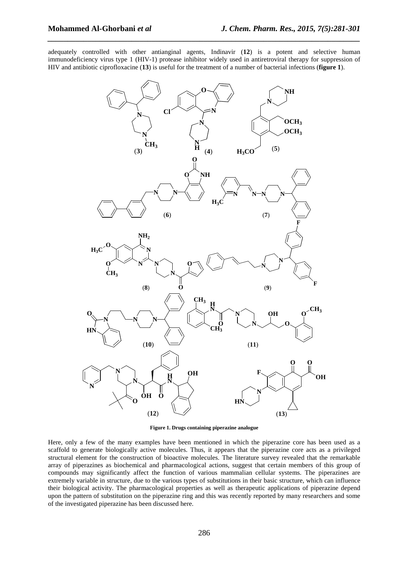adequately controlled with other antianginal agents, Indinavir (**12**) is a potent and selective human immunodeficiency virus type 1 (HIV-1) protease inhibitor widely used in antiretroviral therapy for suppression of HIV and antibiotic ciprofloxacine (**13**) is useful for the treatment of a number of bacterial infections (**figure 1**).

*\_\_\_\_\_\_\_\_\_\_\_\_\_\_\_\_\_\_\_\_\_\_\_\_\_\_\_\_\_\_\_\_\_\_\_\_\_\_\_\_\_\_\_\_\_\_\_\_\_\_\_\_\_\_\_\_\_\_\_\_\_\_\_\_\_\_\_\_\_\_\_\_\_\_\_\_\_\_*



**Figure 1. Drugs containing piperazine analogue** 

Here, only a few of the many examples have been mentioned in which the piperazine core has been used as a scaffold to generate biologically active molecules. Thus, it appears that the piperazine core acts as a privileged structural element for the construction of bioactive molecules. The literature survey revealed that the remarkable array of piperazines as biochemical and pharmacological actions, suggest that certain members of this group of compounds may significantly affect the function of various mammalian cellular systems. The piperazines are extremely variable in structure, due to the various types of substitutions in their basic structure, which can influence their biological activity. The pharmacological properties as well as therapeutic applications of piperazine depend upon the pattern of substitution on the piperazine ring and this was recently reported by many researchers and some of the investigated piperazine has been discussed here.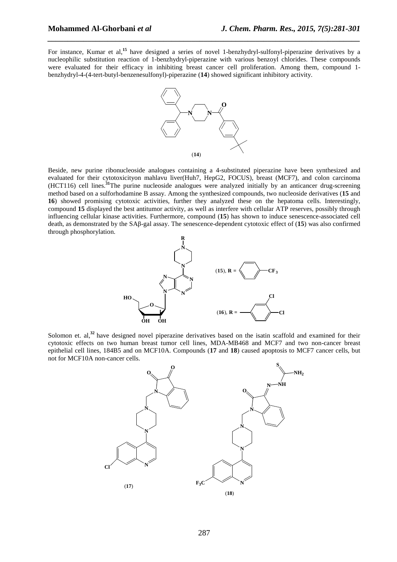For instance, Kumar et al,<sup>15</sup> have designed a series of novel 1-benzhydryl-sulfonyl-piperazine derivatives by a nucleophilic substitution reaction of 1-benzhydryl-piperazine with various benzoyl chlorides. These compounds were evaluated for their efficacy in inhibiting breast cancer cell proliferation. Among them, compound 1 benzhydryl-4-(4-tert-butyl-benzenesulfonyl)-piperazine (**14**) showed significant inhibitory activity.

*\_\_\_\_\_\_\_\_\_\_\_\_\_\_\_\_\_\_\_\_\_\_\_\_\_\_\_\_\_\_\_\_\_\_\_\_\_\_\_\_\_\_\_\_\_\_\_\_\_\_\_\_\_\_\_\_\_\_\_\_\_\_\_\_\_\_\_\_\_\_\_\_\_\_\_\_\_\_*



Beside, new purine ribonucleoside analogues containing a 4-substituted piperazine have been synthesized and evaluated for their cytotoxicityon mahlavu liver(Huh7, HepG2, FOCUS), breast (MCF7), and colon carcinoma (HCT116) cell lines.**<sup>31</sup>**The purine nucleoside analogues were analyzed initially by an anticancer drug-screening method based on a sulforhodamine B assay. Among the synthesized compounds, two nucleoside derivatives (**15** and **16**) showed promising cytotoxic activities, further they analyzed these on the hepatoma cells. Interestingly, compound **15** displayed the best antitumor activity, as well as interfere with cellular ATP reserves, possibly through influencing cellular kinase activities. Furthermore, compound (**15**) has shown to induce senescence-associated cell death, as demonstrated by the SAβ-gal assay. The senescence-dependent cytotoxic effect of (**15**) was also confirmed through phosphorylation.



Solomon et. al,<sup>32</sup> have designed novel piperazine derivatives based on the isatin scaffold and examined for their cytotoxic effects on two human breast tumor cell lines, MDA-MB468 and MCF7 and two non-cancer breast epithelial cell lines, 184B5 and on MCF10A. Compounds (**17** and **18**) caused apoptosis to MCF7 cancer cells, but not for MCF10A non-cancer cells.

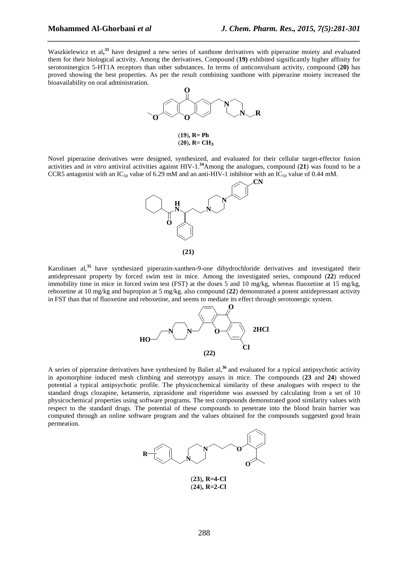Waszkielewicz et al,<sup>33</sup> have designed a new series of xanthone derivatives with piperazine moiety and evaluated them for their biological activity. Among the derivatives, Compound (**19)** exhibited significantly higher affinity for serotoninergicn 5-HT1A receptors than other substances. In terms of anticonvulsant activity, compound (**20)** has proved showing the best properties. As per the result combining xanthone with piperazine moiety increased the bioavailability on oral administration.

*\_\_\_\_\_\_\_\_\_\_\_\_\_\_\_\_\_\_\_\_\_\_\_\_\_\_\_\_\_\_\_\_\_\_\_\_\_\_\_\_\_\_\_\_\_\_\_\_\_\_\_\_\_\_\_\_\_\_\_\_\_\_\_\_\_\_\_\_\_\_\_\_\_\_\_\_\_\_*



(**19**)**, R= Ph**  $(20)$ ,  $R = CH_3$ 

Novel piperazine derivatives were designed, synthesized, and evaluated for their cellular target-effector fusion activities and *in vitro* antiviral activities against HIV-1.**<sup>34</sup>**Among the analogues, compound (**21**) was found to be a CCR5 antagonist with an IC<sub>50</sub> value of 6.29 mM and an anti-HIV-1 inhibitor with an IC<sub>50</sub> value of 0.44 mM.



Karolinaet al,**<sup>35</sup>**have synthesized piperazin-xanthen-9-one dihydrochloride derivatives and investigated their antidepressant property by forced swim test in mice. Among the investigated series, compound (**22**) reduced immobility time in mice in forced swim test (FST) at the doses 5 and 10 mg/kg, whereas fluoxetine at 15 mg/kg, reboxetine at 10 mg/kg and bupropion at 5 mg/kg. also compound (**22**) demonstrated a potent antidepressant activity in FST than that of fluoxetine and reboxetine, and seems to mediate its effect through serotonergic system.



A series of piperazine derivatives have synthesized by Baliet al,**<sup>36</sup>**and evaluated for a typical antipsychotic activity in apomorphine induced mesh climbing and stereotypy assays in mice. The compounds (**23** and **24**) showed potential a typical antipsychotic profile. The physicochemical similarity of these analogues with respect to the standard drugs clozapine, ketanserin, ziprasidone and risperidone was assessed by calculating from a set of 10 physicochemical properties using software programs. The test compounds demonstrated good similarity values with respect to the standard drugs. The potential of these compounds to penetrate into the blood brain barrier was computed through an online software program and the values obtained for the compounds suggested good brain permeation.



(**23**)**, R=4-Cl** (**24**)**, R=2-Cl**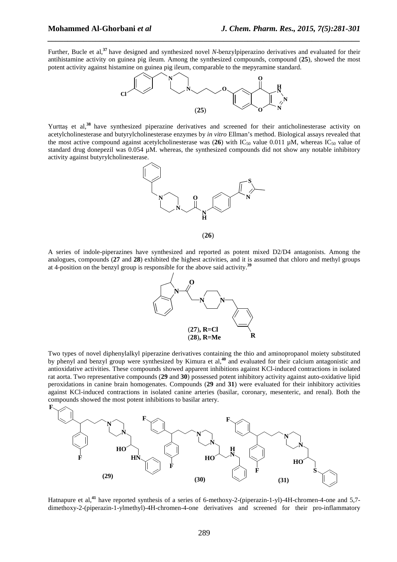Further, Bucle et al,**<sup>37</sup>**have designed and synthesized novel *N*-benzylpiperazino derivatives and evaluated for their antihistamine activity on guinea pig ileum. Among the synthesized compounds, compound (**25**), showed the most potent activity against histamine on guinea pig ileum, comparable to the mepyramine standard.

*\_\_\_\_\_\_\_\_\_\_\_\_\_\_\_\_\_\_\_\_\_\_\_\_\_\_\_\_\_\_\_\_\_\_\_\_\_\_\_\_\_\_\_\_\_\_\_\_\_\_\_\_\_\_\_\_\_\_\_\_\_\_\_\_\_\_\_\_\_\_\_\_\_\_\_\_\_\_*



Yurttaş et al,<sup>38</sup> have synthesized piperazine derivatives and screened for their anticholinesterase activity on acetylcholinesterase and butyrylcholinesterase enzymes by *in vitro* Ellman's method. Biological assays revealed that the most active compound against acetylcholinesterase was (26) with  $IC_{50}$  value 0.011  $\mu$ M, whereas  $IC_{50}$  value of standard drug donepezil was 0.054 µM. whereas, the synthesized compounds did not show any notable inhibitory activity against butyrylcholinesterase.





A series of indole-piperazines have synthesized and reported as potent mixed D2/D4 antagonists. Among the analogues, compounds (**27** and **28**) exhibited the highest activities, and it is assumed that chloro and methyl groups at 4-position on the benzyl group is responsible for the above said activity.<sup>39</sup>



Two types of novel diphenylalkyl piperazine derivatives containing the thio and aminopropanol moiety substituted by phenyl and benzyl group were synthesized by Kimura et al,**<sup>40</sup>** and evaluated for their calcium antagonistic and antioxidative activities. These compounds showed apparent inhibitions against KCl-induced contractions in isolated rat aorta. Two representative compounds (**29** and **30**) possessed potent inhibitory activity against auto-oxidative lipid peroxidations in canine brain homogenates. Compounds (**29** and **31**) were evaluated for their inhibitory activities against KCl-induced contractions in isolated canine arteries (basilar, coronary, mesenteric, and renal). Both the compounds showed the most potent inhibitions to basilar artery.



Hatnapure et al,**<sup>41</sup>** have reported synthesis of a series of 6-methoxy-2-(piperazin-1-yl)-4H-chromen-4-one and 5,7 dimethoxy-2-(piperazin-1-ylmethyl)-4H-chromen-4-one derivatives and screened for their pro-inflammatory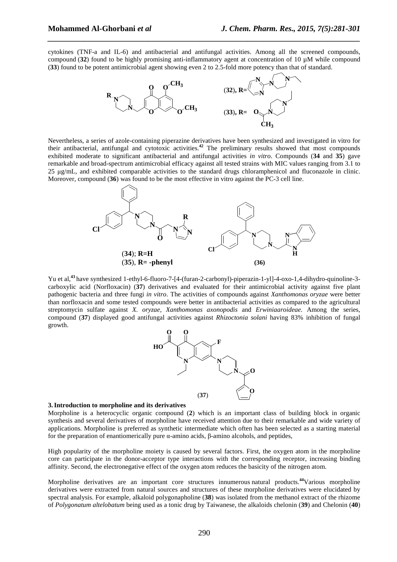cytokines (TNF-a and IL-6) and antibacterial and antifungal activities. Among all the screened compounds, compound (**32**) found to be highly promising anti-inflammatory agent at concentration of 10 µM while compound (**33**) found to be potent antimicrobial agent showing even 2 to 2.5-fold more potency than that of standard.

*\_\_\_\_\_\_\_\_\_\_\_\_\_\_\_\_\_\_\_\_\_\_\_\_\_\_\_\_\_\_\_\_\_\_\_\_\_\_\_\_\_\_\_\_\_\_\_\_\_\_\_\_\_\_\_\_\_\_\_\_\_\_\_\_\_\_\_\_\_\_\_\_\_\_\_\_\_\_*



Nevertheless, a series of azole-containing piperazine derivatives have been synthesized and investigated in vitro for their antibacterial, antifungal and cytotoxic activities.**<sup>42</sup>** The preliminary results showed that most compounds exhibited moderate to significant antibacterial and antifungal activities *in vitro*. Compounds (**34** and **35**) gave remarkable and broad-spectrum antimicrobial efficacy against all tested strains with MIC values ranging from 3.1 to 25 µg/mL, and exhibited comparable activities to the standard drugs chloramphenicol and fluconazole in clinic. Moreover, compound (**36**) was found to be the most effective in vitro against the PC-3 cell line.



Yu et al,<sup>43</sup> have synthesized 1-ethyl-6-fluoro-7-[4-(furan-2-carbonyl)-piperazin-1-yl]-4-oxo-1,4-dihydro-quinoline-3carboxylic acid (Norfloxacin) (**37**) derivatives and evaluated for their antimicrobial activity against five plant pathogenic bacteria and three fungi *in vitro*. The activities of compounds against *Xanthomonas oryzae* were better than norfloxacin and some tested compounds were better in antibacterial activities as compared to the agricultural streptomycin sulfate against *X. oryzae, Xanthomonas axonopodis* and *Erwiniaaroideae.* Among the series, compound (**37**) displayed good antifungal activities against *Rhizoctonia solani* having 83% inhibition of fungal growth.



#### **3. Introduction to morpholine and its derivatives**

Morpholine is a heterocyclic organic compound (**2**) which is an important class of building block in organic synthesis and several derivatives of morpholine have received attention due to their remarkable and wide variety of applications. Morpholine is preferred as synthetic intermediate which often has been selected as a starting material for the preparation of enantiomerically pure α-amino acids, β-amino alcohols, and peptides,

High popularity of the morpholine moiety is caused by several factors. First, the oxygen atom in the morpholine core can participate in the donor-acceptor type interactions with the corresponding receptor, increasing binding affinity. Second, the electronegative effect of the oxygen atom reduces the basicity of the nitrogen atom.

Morpholine derivatives are an important core structures innumerous natural products.**<sup>44</sup>**Various morpholine derivatives were extracted from natural sources and structures of these morpholine derivatives were elucidated by spectral analysis. For example, alkaloid polygonapholine (**38**) was isolated from the methanol extract of the rhizome of *Polygonatum altelobatum* being used as a tonic drug by Taiwanese, the alkaloids chelonin (**39**) and Chelonin (**40**)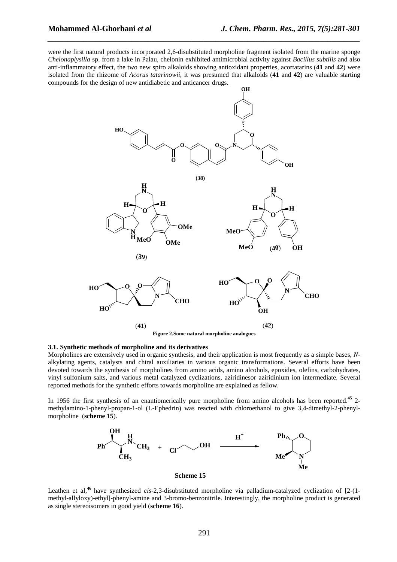were the first natural products incorporated 2,6-disubstituted morpholine fragment isolated from the marine sponge *Chelonaplysilla* sp. from a lake in Palau, chelonin exhibited antimicrobial activity against *Bacillus subtilis* and also anti-inflammatory effect, the two new spiro alkaloids showing antioxidant properties, acortatarins (**41** and **42**) were isolated from the rhizome of *Acorus tatarinowii,* it was presumed that alkaloids (**41** and **42**) are valuable starting compounds for the design of new antidiabetic and anticancer drugs.

*\_\_\_\_\_\_\_\_\_\_\_\_\_\_\_\_\_\_\_\_\_\_\_\_\_\_\_\_\_\_\_\_\_\_\_\_\_\_\_\_\_\_\_\_\_\_\_\_\_\_\_\_\_\_\_\_\_\_\_\_\_\_\_\_\_\_\_\_\_\_\_\_\_\_\_\_\_\_*



**Figure 2.Some natural morpholine analogues** 

#### **3.1. Synthetic methods of morpholine and its derivatives**

Morpholines are extensively used in organic synthesis, and their application is most frequently as a simple bases, *N*alkylating agents, catalysts and chiral auxiliaries in various organic transformations. Several efforts have been devoted towards the synthesis of morpholines from amino acids, amino alcohols, epoxides, olefins, carbohydrates, vinyl sulfonium salts, and various metal catalyzed cyclizations, aziridinesor aziridinium ion intermediate. Several reported methods for the synthetic efforts towards morpholine are explained as fellow.

In 1956 the first synthesis of an enantiomerically pure morpholine from amino alcohols has been reported.**<sup>45</sup>** 2 methylamino-1-phenyl-propan-1-ol (L-Ephedrin) was reacted with chloroethanol to give 3,4-dimethyl-2-phenylmorpholine (**scheme 15**).



Leathen et al,**<sup>46</sup>**have synthesized *cis*-2,3-disubstituted morpholine via palladium-catalyzed cyclization of [2-(1 methyl-allyloxy)-ethyl]-phenyl-amine and 3-bromo-benzonitrile. Interestingly, the morpholine product is generated as single stereoisomers in good yield (**scheme 16**).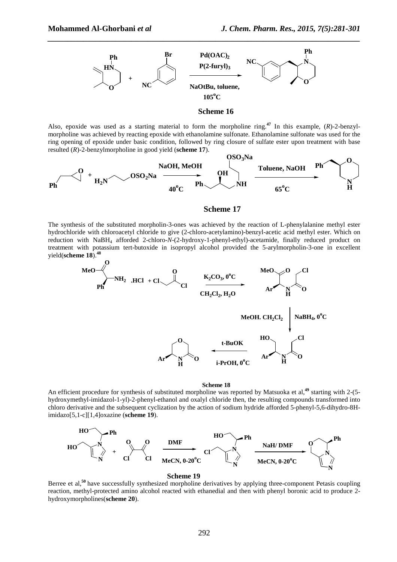

**Scheme 16**

Also, epoxide was used as a starting material to form the morpholine ring.**<sup>47</sup>** In this example, (*R*)-2-benzylmorpholine was achieved by reacting epoxide with ethanolamine sulfonate. Ethanolamine sulfonate was used for the ring opening of epoxide under basic condition, followed by ring closure of sulfate ester upon treatment with base resulted (*R*)-2-benzylmorpholine in good yield (**scheme 17**).



#### **Scheme 17**

The synthesis of the substituted morpholin-3-ones was achieved by the reaction of L-phenylalanine methyl ester hydrochloride with chloroacetyl chloride to give (2-chloro-acetylamino)-benzyl-acetic acid methyl ester. Which on reduction with NaBH4 afforded 2-chloro-*N*-(2-hydroxy-1-phenyl-ethyl)-acetamide, finally reduced product on treatment with potassium tert-butoxide in isopropyl alcohol provided the 5-arylmorpholin-3-one in excellent yield(**scheme 18**).<sup>4</sup>



**Scheme 18**

An efficient procedure for synthesis of substituted morpholine was reported by Matsuoka et al,**<sup>49</sup>** starting with 2-(5 hydroxymethyl-imidazol-1-yl)-2-phenyl-ethanol and oxalyl chloride then, the resulting compounds transformed into chloro derivative and the subsequent cyclization by the action of sodium hydride afforded 5-phenyl-5,6-dihydro-8Himidazo[5,1-c][1,4]oxazine (**scheme 19**).



#### **Scheme 19**

Berree et al,<sup>50</sup> have successfully synthesized morpholine derivatives by applying three-component Petasis coupling reaction, methyl-protected amino alcohol reacted with ethanedial and then with phenyl boronic acid to produce 2 hydroxymorpholines(**scheme 20**).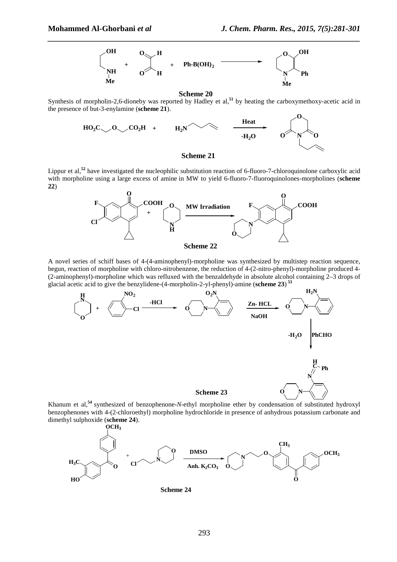

**Scheme 20**

Synthesis of morpholin-2,6-dioneby was reported by Hadley et al,<sup>51</sup> by heating the carboxymethoxy-acetic acid in the presence of but-3-enylamine (**scheme 21**).







A novel series of schiff bases of 4-(4-aminophenyl)-morpholine was synthesized by multistep reaction sequence, begun, reaction of morpholine with chloro-nitrobenzene, the reduction of 4-(2-nitro-phenyl)-morpholine produced 4- (2-aminophenyl)-morpholine which was refluxed with the benzaldehyde in absolute alcohol containing 2–3 drops of glacial acetic acid to give the benzylidene-(4-morpholin-2-yl-phenyl)-amine (**scheme 23**)  **53**



Khanum et al,<sup>54</sup> synthesized of benzophenone-*N*-ethyl morpholine ether by condensation of substituted hydroxyl benzophenones with 4-(2-chloroethyl) morpholine hydrochloride in presence of anhydrous potassium carbonate and dimethyl sulphoxide (**scheme 24**).



**Scheme 24**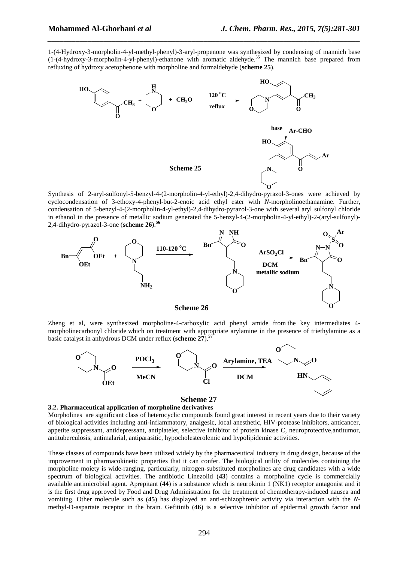1-(4-Hydroxy-3-morpholin-4-yl-methyl-phenyl)-3-aryl-propenone was synthesized by condensing of mannich base (1-(4-hydroxy-3-morpholin-4-yl-phenyl)-ethanone with aromatic aldehyde.**<sup>55</sup>** The mannich base prepared from refluxing of hydroxy acetophenone with morpholine and formaldehyde (**scheme 25**).

*\_\_\_\_\_\_\_\_\_\_\_\_\_\_\_\_\_\_\_\_\_\_\_\_\_\_\_\_\_\_\_\_\_\_\_\_\_\_\_\_\_\_\_\_\_\_\_\_\_\_\_\_\_\_\_\_\_\_\_\_\_\_\_\_\_\_\_\_\_\_\_\_\_\_\_\_\_\_*



Synthesis of 2-aryl-sulfonyl-5-benzyl-4-(2-morpholin-4-yl-ethyl)-2,4-dihydro-pyrazol-3-ones were achieved by cyclocondensation of 3-ethoxy-4-phenyl-but-2-enoic acid ethyl ester with *N*-morpholinoethanamine. Further, condensation of 5-benzyl-4-(2-morpholin-4-yl-ethyl)-2,4-dihydro-pyrazol-3-one with several aryl sulfonyl chloride in ethanol in the presence of metallic sodium generated the 5-benzyl-4-(2-morpholin-4-yl-ethyl)-2-(aryl-sulfonyl)- 2,4-dihydro-pyrazol-3-one (**scheme 26**).**<sup>56</sup>**



#### **Scheme 26**

Zheng et al, were synthesized morpholine-4-carboxylic acid phenyl amide from the key intermediates 4 morpholinecarbonyl chloride which on treatment with appropriate arylamine in the presence of triethylamine as a basic catalyst in anhydrous DCM under reflux (**scheme 27**).**<sup>57</sup>**



#### **3.2. Pharmaceutical application of morpholine derivatives**

Morpholines are significant class of heterocyclic compounds found great interest in recent years due to their variety of biological activities including anti-inflammatory, analgesic, local anesthetic, HIV-protease inhibitors, anticancer, appetite suppressant, antidepressant, antiplatelet, selective inhibitor of protein kinase C, neuroprotective,antitumor, antituberculosis, antimalarial, antiparasitic, hypocholesterolemic and hypolipidemic activities.

These classes of compounds have been utilized widely by the pharmaceutical industry in drug design, because of the improvement in pharmacokinetic properties that it can confer. The biological utility of molecules containing the morpholine moiety is wide-ranging, particularly*,* nitrogen-substituted morpholines are drug candidates with a wide spectrum of biological activities. The antibiotic Linezolid (**43**) contains a morpholine cycle is commercially available antimicrobial agent. Aprepitant (**44**) is a substance which is neurokinin 1 (NK1) receptor antagonist and it is the first drug approved by Food and Drug Administration for the treatment of chemotherapy-induced nausea and vomiting. Other molecule such as (**45**) has displayed an anti-schizophrenic activity via interaction with the *N*methyl-D-aspartate receptor in the brain. Gefitinib (**46**) is a selective inhibitor of epidermal growth factor and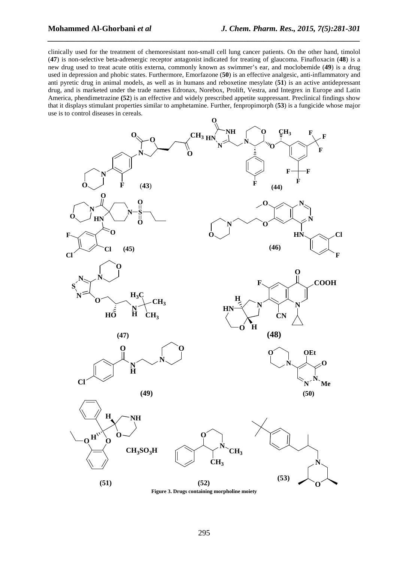clinically used for the treatment of chemoresistant non-small cell lung cancer patients. On the other hand, timolol (**47**) is non-selective beta-adrenergic receptor antagonist indicated for treating of glaucoma. Finafloxacin (**48**) is a new drug used to treat acute otitis externa, commonly known as swimmer's ear, and moclobemide (**49**) is a drug used in depression and phobic states. Furthermore, Emorfazone (**50**) is an effective analgesic, anti-inflammatory and anti pyretic drug in animal models, as well as in humans and reboxetine mesylate (**51**) is an active antidepressant drug, and is marketed under the trade names Edronax, Norebox, Prolift, Vestra, and Integrex in Europe and Latin America, phendimetrazine **(52**) is an effective and widely prescribed appetite suppressant. Preclinical findings show that it displays stimulant properties similar to amphetamine. Further, fenpropimorph (**53**) is a fungicide whose major use is to control diseases in cereals.

*\_\_\_\_\_\_\_\_\_\_\_\_\_\_\_\_\_\_\_\_\_\_\_\_\_\_\_\_\_\_\_\_\_\_\_\_\_\_\_\_\_\_\_\_\_\_\_\_\_\_\_\_\_\_\_\_\_\_\_\_\_\_\_\_\_\_\_\_\_\_\_\_\_\_\_\_\_\_*

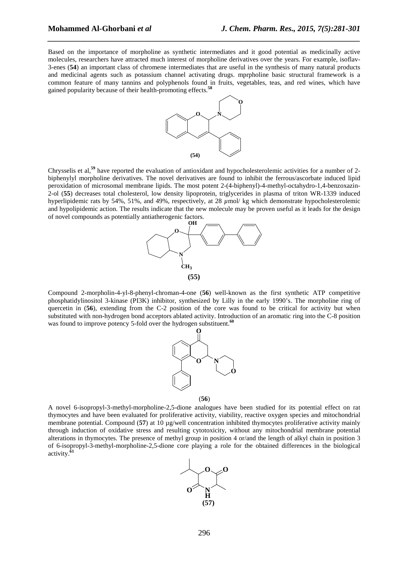Based on the importance of morpholine as synthetic intermediates and it good potential as medicinally active molecules, researchers have attracted much interest of morpholine derivatives over the years. For example, isoflav-3-enes (**54**) an important class of chromene intermediates that are useful in the synthesis of many natural products and medicinal agents such as potassium channel activating drugs. mprpholine basic structural framework is a common feature of many tannins and polyphenols found in fruits, vegetables, teas, and red wines, which have gained popularity because of their health-promoting effects.**<sup>58</sup>**

*\_\_\_\_\_\_\_\_\_\_\_\_\_\_\_\_\_\_\_\_\_\_\_\_\_\_\_\_\_\_\_\_\_\_\_\_\_\_\_\_\_\_\_\_\_\_\_\_\_\_\_\_\_\_\_\_\_\_\_\_\_\_\_\_\_\_\_\_\_\_\_\_\_\_\_\_\_\_*



Chrysselis et al,**<sup>59</sup>** have reported the evaluation of antioxidant and hypocholesterolemic activities for a number of 2 biphenylyl morpholine derivatives. The novel derivatives are found to inhibit the ferrous/ascorbate induced lipid peroxidation of microsomal membrane lipids. The most potent 2-(4-biphenyl)-4-methyl-octahydro-1,4-benzoxazin-2-ol (**55**) decreases total cholesterol, low density lipoprotein, triglycerides in plasma of triton WR-1339 induced hyperlipidemic rats by 54%, 51%, and 49%, respectively, at 28  $\mu$ mol/ kg which demonstrate hypocholesterolemic and hypolipidemic action. The results indicate that the new molecule may be proven useful as it leads for the design of novel compounds as potentially antiatherogenic factors.



Compound 2-morpholin-4-yl-8-phenyl-chroman-4-one (**56**) well-known as the first synthetic ATP competitive phosphatidylinositol 3-kinase (PI3K) inhibitor, synthesized by Lilly in the early 1990's. The morpholine ring of quercetin in (**56**), extending from the C-2 position of the core was found to be critical for activity but when substituted with non-hydrogen bond acceptors ablated activity. Introduction of an aromatic ring into the C-8 position was found to improve potency 5-fold over the hydrogen substituent.<sup>60</sup>



A novel 6-isopropyl-3-methyl-morpholine-2,5-dione analogues have been studied for its potential effect on rat thymocytes and have been evaluated for proliferative activity, viability, reactive oxygen species and mitochondrial membrane potential. Compound (**57**) at 10 µg/well concentration inhibited thymocytes proliferative activity mainly through induction of oxidative stress and resulting cytotoxicity, without any mitochondrial membrane potential alterations in thymocytes. The presence of methyl group in position 4 or/and the length of alkyl chain in position 3 of 6-isopropyl-3-methyl-morpholine-2,5-dione core playing a role for the obtained differences in the biological activity.**<sup>61</sup>**

(**56**)

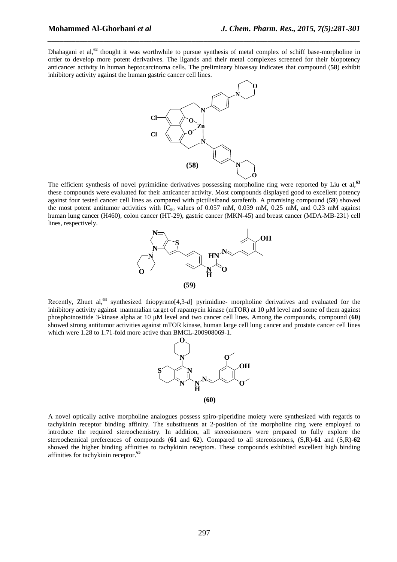Dhahagani et al,**<sup>62</sup>** thought it was worthwhile to pursue synthesis of metal complex of schiff base-morpholine in order to develop more potent derivatives. The ligands and their metal complexes screened for their biopotency anticancer activity in human heptocarcinoma cells. The preliminary bioassay indicates that compound (**58**) exhibit inhibitory activity against the human gastric cancer cell lines.

*\_\_\_\_\_\_\_\_\_\_\_\_\_\_\_\_\_\_\_\_\_\_\_\_\_\_\_\_\_\_\_\_\_\_\_\_\_\_\_\_\_\_\_\_\_\_\_\_\_\_\_\_\_\_\_\_\_\_\_\_\_\_\_\_\_\_\_\_\_\_\_\_\_\_\_\_\_\_*



The efficient synthesis of novel pyrimidine derivatives possessing morpholine ring were reported by Liu et al,**<sup>63</sup>** these compounds were evaluated for their anticancer activity. Most compounds displayed good to excellent potency against four tested cancer cell lines as compared with pictilisiband sorafenib. A promising compound (**59**) showed the most potent antitumor activities with  $IC_{50}$  values of 0.057 mM, 0.039 mM, 0.25 mM, and 0.23 mM against human lung cancer (H460), colon cancer (HT-29), gastric cancer (MKN-45) and breast cancer (MDA-MB-231) cell lines, respectively.



Recently, Zhuet al,**<sup>64</sup>** synthesized thiopyrano[4,3-*d*] pyrimidine- morpholine derivatives and evaluated for the inhibitory activity against mammalian target of rapamycin kinase (mTOR) at 10 µM level and some of them against phosphoinositide 3-kinase alpha at 10 µM level and two cancer cell lines. Among the compounds, compound (**60**) showed strong antitumor activities against mTOR kinase, human large cell lung cancer and prostate cancer cell lines which were 1.28 to 1.71-fold more active than BMCL-200908069-1.



A novel optically active morpholine analogues possess spiro-piperidine moiety were synthesized with regards to tachykinin receptor binding affinity. The substituents at 2-position of the morpholine ring were employed to introduce the required stereochemistry. In addition, all stereoisomers were prepared to fully explore the stereochemical preferences of compounds (**61** and **62**). Compared to all stereoisomers, (S,R)-**61** and (S,R)-**62** showed the higher binding affinities to tachykinin receptors. These compounds exhibited excellent high binding affinities for tachykinin receptor.**<sup>65</sup>**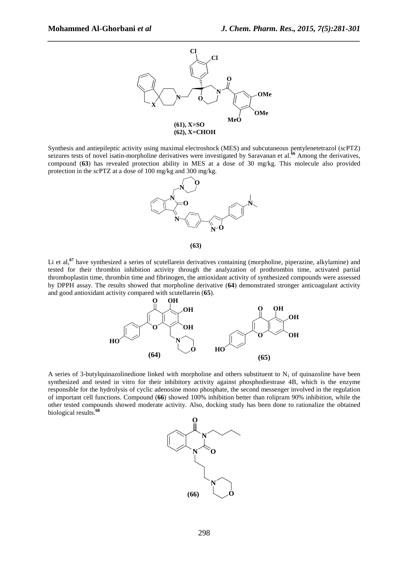

Synthesis and antiepileptic activity using maximal electroshock (MES) and subcutaneous pentylenetetrazol (*sc*PTZ) seizures tests of novel isatin-morpholine derivatives were investigated by Saravanan et al.**<sup>66</sup>** Among the derivatives, compound (**63**) has revealed protection ability in MES at a dose of 30 mg/kg. This molecule also provided protection in the *sc*PTZ at a dose of 100 mg/kg and 300 mg/kg.



**(63)**

Li et al.<sup>67</sup> have synthesized a series of scutellarein derivatives containing (morpholine, piperazine, alkylamine) and tested for their thrombin inhibition activity through the analyzation of prothrombin time, activated partial thromboplastin time, thrombin time and fibrinogen, the antioxidant activity of synthesized compounds were assessed by DPPH assay. The results showed that morpholine derivative (**64**) demonstrated stronger anticoagulant activity and good antioxidant activity compared with scutellarein (**65**).



A series of 3-butylquinazolinedione linked with morpholine and others substituent to  $N_1$  of quinazoline have been synthesized and tested in vitro for their inhibitory activity against phosphodiestrase 4B, which is the enzyme responsible for the hydrolysis of cyclic adenosine mono phosphate, the second messenger involved in the regulation of important cell functions. Compound (**66**) showed 100% inhibition better than rolipram 90% inhibition, while the other tested compounds showed moderate activity. Also, docking study has been done to rationalize the obtained biological results.**<sup>68</sup>**

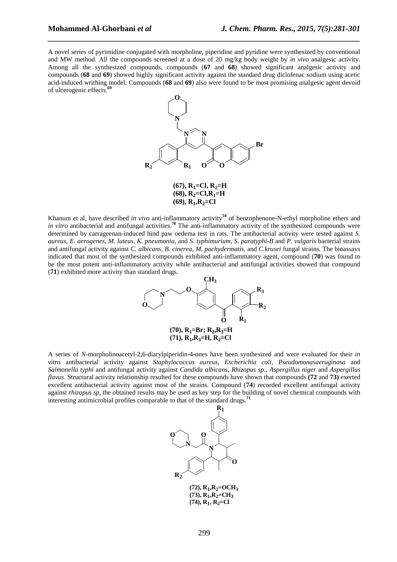A novel series of pyrimidine conjugated with morpholine, piperidine and pyridine were synthesized by conventional and MW method. All the compounds screened at a dose of 20 mg/kg body weight by *in vivo* analgesic activity. Among all the synthesized compounds, compounds (**67** and **68**) showed significant analgesic activity and compounds (**68** and **69**) showed highly significant activity against the standard drug diclofenac sodium using acetic acid-induced writhing model. Compounds (**68** and **69**) also were found to be most promising analgesic agent devoid of ulcerogenic effects.**<sup>69</sup>**

*\_\_\_\_\_\_\_\_\_\_\_\_\_\_\_\_\_\_\_\_\_\_\_\_\_\_\_\_\_\_\_\_\_\_\_\_\_\_\_\_\_\_\_\_\_\_\_\_\_\_\_\_\_\_\_\_\_\_\_\_\_\_\_\_\_\_\_\_\_\_\_\_\_\_\_\_\_\_*



 $(67)$ ,  $R_1 = Cl$ ,  $R_2 = H$  $(68)$ ,  $R_2 = Cl$ ,  $R_1 = H$ **(69), R<sup>1</sup> ,R2=Cl**

Khanum et al, have described *in vivo* anti-inflammatory activity**<sup>54</sup>** of benzophenone-N-ethyl morpholine ethers and *in vitro* antibacterial and antifungal activities.<sup>70</sup> The anti-inflammatory activity of the synthesized compounds were determined by carrageenan-induced hind paw oedema test in rats. The antibacterial activity were tested against *S. aureus*, *E. aerogenes*, *M. luteus*, *K. pneumonia*, and *S. typhimurium*, *S. paratyphi-B* and *P. vulgaris* bacterial strains and antifungal activity against *C. albicans*, *B. cinerea*, *M. pachydermatis*, and *C.krusei* fungal strains. The bioassays indicated that most of the synthesized compounds exhibited anti-inflammatory agent, compound (**70**) was found to be the most potent anti-inflammatory activity while antibacterial and antifungal activities showed that compound (**71**) exhibited more activity than standard drugs.



A series of *N*-morpholinoacetyl-2,6-diarylpiperidin-4-ones have been synthesized and were evaluated for their *in vitro* antibacterial activity against *Staphylococcus aureus*, *Escherichia coli*, *Pseudomonasaeruginosa* and *Salmonella typhi* and antifungal activity against *Candida albicans*, *Rhizopus sp*., *Aspergillus niger* and *Aspergillus flavus*. Structural activity relationship resulted for these compounds have shown that compounds **(72** and **73)** exerted excellent antibacterial activity against most of the strains. Compound (**74**) recorded excellent antifungal activity against *rhizopus sp*, the obtained results may be used as key step for the building of novel chemical compounds with interesting antimicrobial profiles comparable to that of the standard drugs.**<sup>71</sup>**

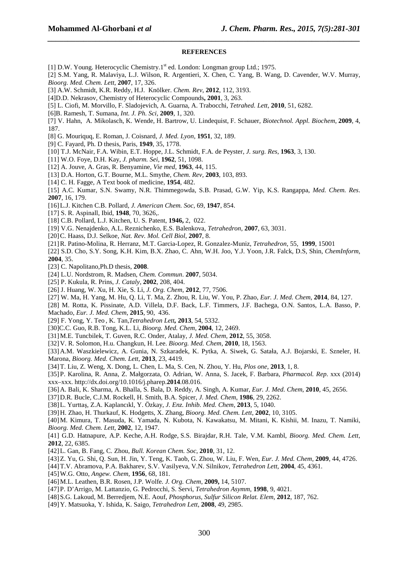#### **REFERENCES**

*\_\_\_\_\_\_\_\_\_\_\_\_\_\_\_\_\_\_\_\_\_\_\_\_\_\_\_\_\_\_\_\_\_\_\_\_\_\_\_\_\_\_\_\_\_\_\_\_\_\_\_\_\_\_\_\_\_\_\_\_\_\_\_\_\_\_\_\_\_\_\_\_\_\_\_\_\_\_*

- [1] D.W. Young. Heterocyclic Chemistry.1<sup>st</sup> ed. London: Longman group Ltd.; 1975.
- [2] S.M. Yang, R. Malaviya, L.J. Wilson, R. Argentieri, X. Chen, C. Yang, B. Wang, D. Cavender, W.V. Murray, *Bioorg. Med. Chem. Lett*, **2007**, 17, 326.
- [3] A.W. Schmidt, K.R. Reddy, H.J. Knölker. *Chem. Rev*, **2012**, 112, 3193.
- [4]D.D. Nekrasov, Chemistry of Heterocyclic Compounds**, 2001**, 3, 263.
- [5] L. Ciofi, M. Morvillo, F. Sladojevich, A. Guarna, A. Trabocchi, *Tetrahed. Lett*, **2010**, 51, 6282.
- [6]B. Ramesh, T. Sumana, *Int. J. Ph. Sci,* **2009**, 1, 320.
- [7] V. Hahn, A. Mikolasch, K. Wende, H. Bartrow, U. Lindequist, F. Schauer, *Biotechnol. Appl. Biochem*, **2009**, 4, 187.
- [8] G. Mouriquq, E. Roman, J. Coisnard, *J. Med. Lyon*, **1951**, 32, 189.
- [9] C. Fayard, Ph. D thesis, Paris, **1949**, 35, 1778.
- [10] T.J. McNair, F.A. Wibin, E.T. Hoppe, J.L. Schmidt, F.A. de Peyster, *J. surg. Res*, **1963**, 3, 130.
- [11] W.O. Foye, D.H. Kay, *J. pharm. Sei*, **1962**, 51, 1098.
- [12] A. Jouve, A. Gras, R. Benyamine, *Vie med*, **1963**, 44, 115.
- [13] D.A. Horton, G.T. Bourne, M.L. Smythe, *Chem. Rev,* **2003**, 103, 893.
- [14] C. H. Fagge, A Text book of medicine, **1954**, 482.

[15] A.C. Kumar, S.N. Swamy, N.R. Thimmegowda, S.B. Prasad, G.W. Yip, K.S. Rangappa, *Med. Chem. Res*. **2007**, 16, 179.

- [16] L.J. Kitchen C.B. Pollard*, J. American Chem. Soc*, 69, **1947**, 854.
- [17] S. R. Aspinall, Ibid, **1948**, 70, 3626,.
- [18] C.B. Pollard, L.J. Kitchen, U. S. Patent, **1946,** 2, 022.
- [19] V.G. Nenajdenko, A.L. Reznichenko, E.S. Balenkova, *Tetrahedron*, **2007**, 63, 3031.
- [20] C. Haass, D.J. Selkoe, *Nat. Rev. Mol. Cell Biol*, **2007**, 8.
- [21] R. Patino-Molina, R. Herranz, M.T. Garcia-Lopez, R. Gonzalez-Muniz, *Tetrahedron*, 55, **1999**, 15001

[22] S.D. Cho, S.Y. Song, K.H. Kim, B.X. Zhao, C. Ahn, W.H. Joo, Y.J. Yoon, J.R. Falck, D.S, Shin, *ChemInform*, **2004**, 35.

- [23] C. Napolitano,Ph.D thesis, **2008**.
- [24] L.U. Nordstrom, R. Madsen, *Chem. Commun*. **2007**, 5034.
- [25] P. Kukula, R. Prins, *J. Cataly*, **2002**, 208, 404.
- [26] J. Huang, W. Xu, H. Xie, S. Li, *J. Org. Chem*, **2012**, 77, 7506.
- [27] W. Ma, H. Yang, M. Hu, Q. Li, T. Ma, Z. Zhou, R. Liu, W. You, P. Zhao, *Eur. J. Med. Chem*, **2014**, 84, 127.
- [28] M. Rotta, K. Pissinate, A.D. Villela, D.F. Back, L.F. Timmers, J.F. Bachega, O.N. Santos, L.A. Basso, P. Machado, *Eur. J. Med. Chem*, **2015**, 90, 436.
- [29] F. Yong, Y. Teo , K. Tan,*Tetrahedron Lett,* **2013**, 54, 5332.
- [30]C.C. Guo, R.B. Tong, K.L. Li, *Bioorg. Med. Chem*, **2004**, 12, 2469.
- [31] M.E. Tuncbilek, T. Guven, R.C. Onder, Atalay, *J. Med. Chem*, **2012**, 55, 3058.
- [32] V. R. Solomon, H.u. Changkun, H. Lee. *Bioorg. Med. Chem*, **2010**, 18, 1563.
- [33] A.M. Waszkielewicz, A. Gunia, N. Szkaradek, K. Pytka, A. Siwek, G. Satała, A.J. Bojarski, E. Szneler, H. Marona, *Bioorg. Med. Chem. Lett*, **2013**, 23, 4419.
- [34] T. Liu, Z. Weng, X. Dong, L. Chen, L. Ma, S. Cen, N. Zhou, Y. Hu, *Plos one*, **2013**, 1, 8.

[35] P. Karolina, R. Anna, Z. Małgorzata, O. Adrian, W. Anna, S. Jacek, F. Barbara, *Pharmacol. Rep*. xxx (2014) xxx–xxx. http://dx.doi.org/10.1016/j.pharep.**2014**.08.016.

- [36] A. Bali, K. Sharma, A. Bhalla, S. Bala, D. Reddy, A. Singh, A. Kumar, *Eur. J. Med. Chem*, **2010**, 45, 2656.
- [37] D.R. Bucle, C.J.M. Rockell, H. Smith, B.A. Spicer*, J. Med. Chem*, **1986**, 29, 2262.

[38] L. Yurttaş, Z.A. Kaplancıkl, Y. Özkay, *J. Enz. Inhib. Med. Chem*, **2013**, 5, 1040.

[39] H. Zhao, H. Thurkauf, K. Hodgetts, X. Zhang, *Bioorg. Med. Chem. Lett*, **2002**, 10, 3105.

[40] M. Kimura, T. Masuda, K. Yamada, N. Kubota, N. Kawakatsu, M. Mitani, K. Kishii, M. Inazu, T. Namiki, *Bioorg. Med. Chem. Lett*, **2002**, 12, 1947.

- [41] G.D. Hatnapure, A.P. Keche, A.H. Rodge, S.S. Birajdar, R.H. Tale, V.M. Kambl, *Bioorg. Med. Chem. Lett,*  **2012**, 22, 6385.
- [42] L. Gan, B. Fang, C. Zhou, *Bull. Korean Chem. Soc*, **2010**, 31, 12.
- [43] Z. Yu, G. Shi, Q. Sun, H. Jin, Y. Teng, K. Taob, G. Zhou, W. Liu, F. Wen, *Eur. J. Med. Chem,* **2009**, 44, 4726.

[44] T.V. Abramova, P.A. Bakharev, S.V. Vasilyeva, V.N. Silnikov, *Tetrahedron Lett*, **2004**, 45, 4361.

- [45] W.G. Otto, *Angew. Chem*, **1956**, 68, 181.
- [46] M.L. Leathen, B.R. Rosen, J.P. Wolfe*. J. Org. Chem*, **2009,** 14, 5107.
- [47] P. D'Arrigo, M. Lattanzio, G. Pedrocchi, S. Servi, *Tetrahedron Asymm*, **1998**, 9, 4021.
- [48] S.G. Lakoud, M. Berredjem, N.E. Aouf, *Phosphorus, Sulfur Silicon Relat. Elem*, **2012**, 187, 762.
- [49] Y. Matsuoka, Y. Ishida, K. Saigo, *Tetrahedron Lett*, **2008**, 49, 2985.